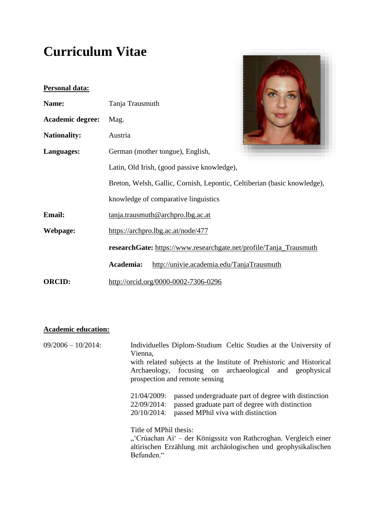# **Curriculum Vitae**

| <b>Personal data:</b>   |                                                                          |                                           |  |  |
|-------------------------|--------------------------------------------------------------------------|-------------------------------------------|--|--|
| Name:                   | Tanja Trausmuth                                                          |                                           |  |  |
| <b>Academic degree:</b> | Mag.                                                                     |                                           |  |  |
| <b>Nationality:</b>     | Austria                                                                  |                                           |  |  |
| Languages:              | German (mother tongue), English,                                         |                                           |  |  |
|                         | Latin, Old Irish, (good passive knowledge),                              |                                           |  |  |
|                         | Breton, Welsh, Gallic, Cornish, Lepontic, Celtiberian (basic knowledge), |                                           |  |  |
|                         |                                                                          | knowledge of comparative linguistics      |  |  |
| <b>Email:</b>           |                                                                          | tanja.trausmuth@archpro.lbg.ac.at         |  |  |
| Webpage:                | https://archpro.lbg.ac.at/node/477                                       |                                           |  |  |
|                         | researchGate: https://www.researchgate.net/profile/Tanja_Trausmuth       |                                           |  |  |
|                         | Academia:                                                                | http://univie.academia.edu/TanjaTrausmuth |  |  |
| <b>ORCID:</b>           |                                                                          | http://orcid.org/0000-0002-7306-0296      |  |  |

**Contract Contract Contract Contract Contract** 

### **Academic education:**

| $09/2006 - 10/2014$ : | Individuelles Diplom-Studium Celtic Studies at the University of<br>Vienna,                                                                                                                |  |  |
|-----------------------|--------------------------------------------------------------------------------------------------------------------------------------------------------------------------------------------|--|--|
|                       | with related subjects at the Institute of Prehistoric and Historical<br>Archaeology, focusing on archaeological and geophysical<br>prospection and remote sensing                          |  |  |
|                       | 21/04/2009:<br>passed undergraduate part of degree with distinction<br>22/09/2014:<br>passed graduate part of degree with distinction<br>20/10/2014:<br>passed MPhil viva with distinction |  |  |
|                       | Title of MPhil thesis:<br>"'Crúachan Aí' – der Königssitz von Rathcroghan. Vergleich einer<br>altirischen Erzählung mit archäologischen und geophysikalischen<br>Befunden."                |  |  |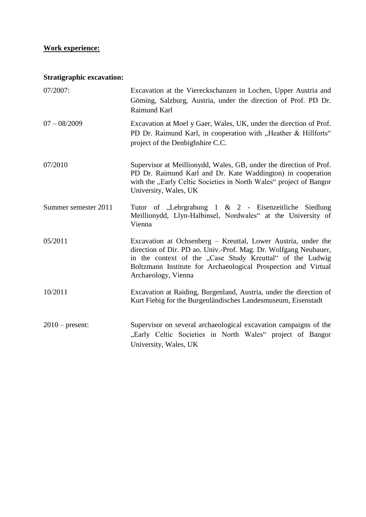## **Work experience:**

## **Stratigraphic excavation:**

| 07/2007:             | Excavation at the Viereckschanzen in Lochen, Upper Austria and<br>Göming, Salzburg, Austria, under the direction of Prof. PD Dr.<br>Raimund Karl                                                                                                                                        |
|----------------------|-----------------------------------------------------------------------------------------------------------------------------------------------------------------------------------------------------------------------------------------------------------------------------------------|
| $07 - 08/2009$       | Excavation at Moel y Gaer, Wales, UK, under the direction of Prof.<br>PD Dr. Raimund Karl, in cooperation with "Heather & Hillforts"<br>project of the Denbighshire C.C.                                                                                                                |
| 07/2010              | Supervisor at Meillionydd, Wales, GB, under the direction of Prof.<br>PD Dr. Raimund Karl and Dr. Kate Waddington) in cooperation<br>with the "Early Celtic Societies in North Wales" project of Bangor<br>University, Wales, UK                                                        |
| Summer semester 2011 | Tutor of "Lehrgrabung $1 \& 2$ - Eisenzeitliche Siedlung<br>Meillionydd, Llyn-Halbinsel, Nordwales" at the University of<br>Vienna                                                                                                                                                      |
| 05/2011              | Excavation at Ochsenberg – Kreuttal, Lower Austria, under the<br>direction of Dir. PD ao. Univ.-Prof. Mag. Dr. Wolfgang Neubauer,<br>in the context of the "Case Study Kreuttal" of the Ludwig<br>Boltzmann Institute for Archaeological Prospection and Virtual<br>Archaeology, Vienna |
| 10/2011              | Excavation at Raiding, Burgenland, Austria, under the direction of<br>Kurt Fiebig for the Burgenländisches Landesmuseum, Eisenstadt                                                                                                                                                     |
| $2010$ – present:    | Supervisor on several archaeological excavation campaigns of the<br>"Early Celtic Societies in North Wales" project of Bangor<br>University, Wales, UK                                                                                                                                  |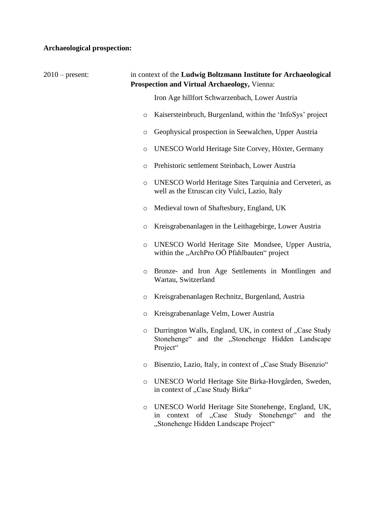## **Archaeological prospection:**

| $2010$ – present: | in context of the Ludwig Boltzmann Institute for Archaeological<br><b>Prospection and Virtual Archaeology, Vienna:</b> |                                                                                                                                                  |  |
|-------------------|------------------------------------------------------------------------------------------------------------------------|--------------------------------------------------------------------------------------------------------------------------------------------------|--|
|                   |                                                                                                                        | Iron Age hillfort Schwarzenbach, Lower Austria                                                                                                   |  |
|                   | $\circ$                                                                                                                | Kaisersteinbruch, Burgenland, within the 'InfoSys' project                                                                                       |  |
|                   | $\circ$                                                                                                                | Geophysical prospection in Seewalchen, Upper Austria                                                                                             |  |
|                   | $\circ$                                                                                                                | UNESCO World Heritage Site Corvey, Höxter, Germany                                                                                               |  |
|                   | $\circ$                                                                                                                | Prehistoric settlement Steinbach, Lower Austria                                                                                                  |  |
|                   | $\circ$                                                                                                                | UNESCO World Heritage Sites Tarquinia and Cerveteri, as<br>well as the Etruscan city Vulci, Lazio, Italy                                         |  |
|                   | $\circ$                                                                                                                | Medieval town of Shaftesbury, England, UK                                                                                                        |  |
|                   | $\circ$                                                                                                                | Kreisgrabenanlagen in the Leithagebirge, Lower Austria                                                                                           |  |
|                   | $\circ$                                                                                                                | UNESCO World Heritage Site Mondsee, Upper Austria,<br>within the "ArchPro OÖ Pfahlbauten" project                                                |  |
|                   | $\circ$                                                                                                                | Bronze- and Iron Age Settlements in Montlingen and<br>Wartau, Switzerland                                                                        |  |
|                   | $\circ$                                                                                                                | Kreisgrabenanlagen Rechnitz, Burgenland, Austria                                                                                                 |  |
|                   | $\circ$                                                                                                                | Kreisgrabenanlage Velm, Lower Austria                                                                                                            |  |
|                   | $\circ$                                                                                                                | Durrington Walls, England, UK, in context of "Case Study<br>Stonehenge" and the "Stonehenge Hidden Landscape<br>Project"                         |  |
|                   | $\circ$                                                                                                                | Bisenzio, Lazio, Italy, in context of "Case Study Bisenzio"                                                                                      |  |
|                   | $\circ$                                                                                                                | UNESCO World Heritage Site Birka-Hovgården, Sweden,<br>in context of "Case Study Birka"                                                          |  |
|                   | O                                                                                                                      | UNESCO World Heritage Site Stonehenge, England, UK,<br>in context of "Case Study Stonehenge"<br>and the<br>"Stonehenge Hidden Landscape Project" |  |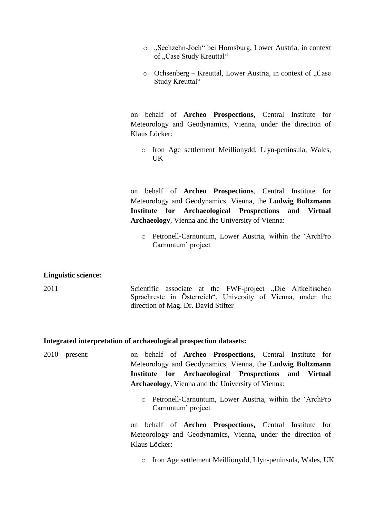- o "Sechzehn-Joch" bei Hornsburg, Lower Austria, in context of "Case Study Kreuttal"
- $\circ$  Ochsenberg Kreuttal, Lower Austria, in context of ...Case Study Kreuttal"

on behalf of **Archeo Prospections,** Central Institute for Meteorology and Geodynamics, Vienna, under the direction of Klaus Löcker:

o Iron Age settlement Meillionydd, Llyn-peninsula, Wales, UK

on behalf of **Archeo Prospections**, Central Institute for Meteorology and Geodynamics, Vienna, the **Ludwig Boltzmann Institute for Archaeological Prospections and Virtual Archaeology**, Vienna and the University of Vienna:

o Petronell-Carnuntum, Lower Austria, within the 'ArchPro Carnuntum' project

#### **Linguistic science:**

2011 Scientific associate at the FWF-project "Die Altkeltischen Sprachreste in Österreich", University of Vienna, under the direction of Mag. Dr. David Stifter

#### **Integrated interpretation of archaeological prospection datasets:**

2010 – present: on behalf of **Archeo Prospections**, Central Institute for Meteorology and Geodynamics, Vienna, the **Ludwig Boltzmann Institute for Archaeological Prospections and Virtual Archaeology**, Vienna and the University of Vienna:

> o Petronell-Carnuntum, Lower Austria, within the 'ArchPro Carnuntum' project

on behalf of **Archeo Prospections,** Central Institute for Meteorology and Geodynamics, Vienna, under the direction of Klaus Löcker:

o Iron Age settlement Meillionydd, Llyn-peninsula, Wales, UK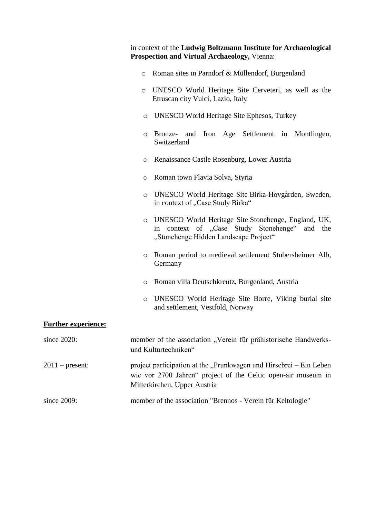|                            | in context of the Ludwig Boltzmann Institute for Archaeological<br>Prospection and Virtual Archaeology, Vienna:                                                     |
|----------------------------|---------------------------------------------------------------------------------------------------------------------------------------------------------------------|
|                            | Roman sites in Parndorf & Müllendorf, Burgenland<br>$\circ$                                                                                                         |
|                            | UNESCO World Heritage Site Cerveteri, as well as the<br>$\circ$<br>Etruscan city Vulci, Lazio, Italy                                                                |
|                            | UNESCO World Heritage Site Ephesos, Turkey<br>$\circ$                                                                                                               |
|                            | Iron Age Settlement in Montlingen,<br>Bronze- and<br>O<br>Switzerland                                                                                               |
|                            | Renaissance Castle Rosenburg, Lower Austria<br>O                                                                                                                    |
|                            | Roman town Flavia Solva, Styria<br>O                                                                                                                                |
|                            | UNESCO World Heritage Site Birka-Hovgården, Sweden,<br>$\circ$<br>in context of "Case Study Birka"                                                                  |
|                            | UNESCO World Heritage Site Stonehenge, England, UK,<br>$\circ$<br>in context of "Case Study Stonehenge" and<br>the<br>"Stonehenge Hidden Landscape Project"         |
|                            | Roman period to medieval settlement Stubersheimer Alb,<br>O<br>Germany                                                                                              |
|                            | Roman villa Deutschkreutz, Burgenland, Austria<br>O                                                                                                                 |
|                            | UNESCO World Heritage Site Borre, Viking burial site<br>$\circ$<br>and settlement, Vestfold, Norway                                                                 |
| <b>Further experience:</b> |                                                                                                                                                                     |
| since 2020:                | member of the association "Verein für prähistorische Handwerks-<br>und Kulturtechniken"                                                                             |
| $2011$ – present:          | project participation at the "Prunkwagen und Hirsebrei – Ein Leben<br>wie vor 2700 Jahren" project of the Celtic open-air museum in<br>Mitterkirchen, Upper Austria |
| since 2009:                | member of the association "Brennos - Verein für Keltologie"                                                                                                         |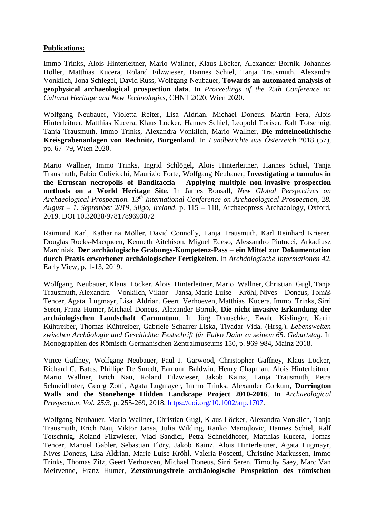#### **Publications:**

Immo Trinks, Alois Hinterleitner, Mario Wallner, Klaus Löcker, Alexander Bornik, Johannes Höller, Matthias Kucera, Roland Filzwieser, Hannes Schiel, Tanja Trausmuth, Alexandra Vonkilch, Jona Schlegel, David Russ, Wolfgang Neubauer, **Towards an automated analysis of geophysical archaeological prospection data**. In *Proceedings of the 25th Conference on Cultural Heritage and New Technologies*, CHNT 2020, Wien 2020.

Wolfgang Neubauer, Violetta Reiter, Lisa Aldrian, Michael Doneus, Martin Fera, Alois Hinterleitner, Matthias Kucera, Klaus Löcker, Hannes Schiel, Leopold Toriser, Ralf Totschnig, Tanja Trausmuth, Immo Trinks, Alexandra Vonkilch, Mario Wallner, **Die mittelneolithische Kreisgrabenanlagen von Rechnitz, Burgenland**. In *Fundberichte aus Österreich* 2018 (57), pp. 67–79, Wien 2020.

Mario Wallner, Immo Trinks, Ingrid Schlögel, Alois Hinterleitner, Hannes Schiel, Tanja Trausmuth, Fabio Colivicchi, Maurizio Forte, Wolfgang Neubauer, **Investigating a tumulus in the Etruscan necropolis of Banditaccia - Applying multiple non-invasive prospection methods on a World Heritage Site.** In James Bonsall, *New Global Perspectives on Archaeological Prospection. 13th International Conference on Archaeological Prospection, 28. August – 1. September 2019, Sligo, Ireland*. p. 115 *–* 118, Archaeopress Archaeology, Oxford, 2019. DOI 10.32028/9781789693072

Raimund Karl, Katharina Möller, David Connolly, Tanja Trausmuth, Karl Reinhard Krierer, Douglas Rocks-Macqueen, Kenneth Aitchison, Miguel Edeso, Alessandro Pintucci, Arkadiusz Marciniak, **Der archäologische Grabungs-Kompetenz-Pass – ein Mittel zur Dokumentation durch Praxis erworbener archäologischer Fertigkeiten.** In *Archäologische Informationen 42*, Early View, p. 1-13, 2019.

Wolfgang Neubauer, Klaus Löcker, Alois Hinterleitner, Mario Wallner, Christian Gugl, Tanja Trausmuth, Alexandra Vonkilch, Viktor Jansa, Marie-Luise Kröhl, Nives Doneus, Tomáš Tencer, Agata Lugmayr, Lisa Aldrian, Geert Verhoeven, Matthias Kucera, Immo Trinks, Sirri Seren, Franz Humer, Michael Doneus, Alexander Bornik, **Die nicht-invasive Erkundung der archäologischen Landschaft Carnuntum**. In Jörg Drauschke, Ewald Kislinger, Karin Kühtreiber, Thomas Kühtreiber, Gabriele Scharrer-Liska, Tivadar Vida, (Hrsg.), *Lebenswelten zwischen Archäologie und Geschichte: Festschrift für Falko Daim zu seinem 65. Geburtstag*. In Monographien des Römisch-Germanischen Zentralmuseums 150, p. 969-984, Mainz 2018.

Vince Gaffney, Wolfgang Neubauer, Paul J. Garwood, Christopher Gaffney, Klaus Löcker, Richard C. Bates, Phillipe De Smedt, Eamonn Baldwin, Henry Chapman, Alois Hinterleitner, Mario Wallner, Erich Nau, Roland Filzwieser, Jakob Kainz, Tanja Trausmuth, Petra Schneidhofer, Georg Zotti, Agata Lugmayer, Immo Trinks, Alexander Corkum, **Durrington Walls and the Stonehenge Hidden Landscape Project 2010-2016**. In *Archaeological Prospection, Vol. 25/3*, p. 255-269, 2018, [https://doi.org/10.1002/arp.1707.](https://doi.org/10.1002/arp.1707)

Wolfgang Neubauer, Mario Wallner, Christian Gugl, Klaus Löcker, Alexandra Vonkilch, Tanja Trausmuth, Erich Nau, Viktor Jansa, Julia Wilding, Ranko Manojlovic, Hannes Schiel, Ralf Totschnig, Roland Filzwieser, Vlad Sandici, Petra Schneidhofer, Matthias Kucera, Tomas Tencer, Manuel Gabler, Sebastian Flöry, Jakob Kainz, Alois Hinterleitner, Agata Lugmayr, Nives Doneus, Lisa Aldrian, Marie-Luise Kröhl, Valeria Poscetti, Christine Markussen, Immo Trinks, Thomas Zitz, Geert Verhoeven, Michael Doneus, Sirri Seren, Timothy Saey, Marc Van Meirvenne, Franz Humer, **Zerstörungsfreie archäologische Prospektion des römischen**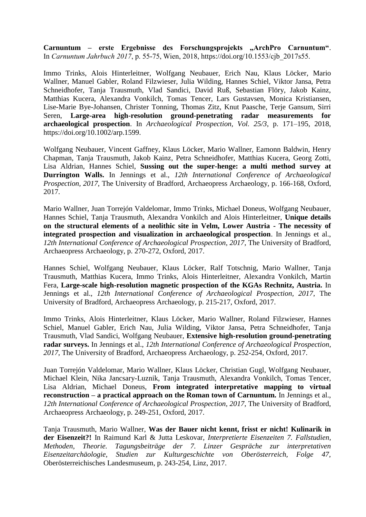**Carnuntum – erste Ergebnisse des Forschungsprojekts "ArchPro Carnuntum"**. In *Carnuntum Jahrbuch 2017*, p. 55-75, Wien, 2018, https://doi.org/10.1553/cjb\_2017s55.

Immo Trinks, Alois Hinterleitner, Wolfgang Neubauer, Erich Nau, Klaus Löcker, Mario Wallner, Manuel Gabler, Roland Filzwieser, Julia Wilding, Hannes Schiel, Viktor Jansa, Petra Schneidhofer, Tanja Trausmuth, Vlad Sandici, David Ruß, Sebastian Flöry, Jakob Kainz, Matthias Kucera, Alexandra Vonkilch, Tomas Tencer, Lars Gustavsen, Monica Kristiansen, Lise-Marie Bye-Johansen, Christer Tonning, Thomas Zitz, Knut Paasche, Terje Gansum, Sirri Seren, **Large-area high-resolution ground-penetrating radar measurements for archaeological prospection**. In *Archaeological Prospection, Vol. 25/3*, p. 171–195, 2018, https://doi.org/10.1002/arp.1599.

Wolfgang Neubauer, Vincent Gaffney, Klaus Löcker, Mario Wallner, Eamonn Baldwin, Henry Chapman, Tanja Trausmuth, Jakob Kainz, Petra Schneidhofer, Matthias Kucera, Georg Zotti, Lisa Aldrian, Hannes Schiel, **Sussing out the super-henge: a multi method survey at Durrington Walls.** In Jennings et al., *12th International Conference of Archaeological Prospection, 2017*, The University of Bradford, Archaeopress Archaeology, p. 166-168, Oxford, 2017.

Mario Wallner, Juan Torrejón Valdelomar, Immo Trinks, Michael Doneus, Wolfgang Neubauer, Hannes Schiel, Tanja Trausmuth, Alexandra Vonkilch and Alois Hinterleitner, **Unique details on the structural elements of a neolithic site in Velm, Lower Austria - The necessity of integrated prospection and visualization in archaeological prospection**. In Jennings et al., *12th International Conference of Archaeological Prospection, 2017*, The University of Bradford, Archaeopress Archaeology, p. 270-272, Oxford, 2017.

Hannes Schiel, Wolfgang Neubauer, Klaus Löcker, Ralf Totschnig, Mario Wallner, Tanja Trausmuth, Matthias Kucera, Immo Trinks, Alois Hinterleitner, Alexandra Vonkilch, Martin Fera, **Large-scale high-resolution magnetic prospection of the KGAs Rechnitz, Austria.** In Jennings et al., *12th International Conference of Archaeological Prospection, 2017*, The University of Bradford, Archaeopress Archaeology, p. 215-217, Oxford, 2017.

Immo Trinks, Alois Hinterleitner, Klaus Löcker, Mario Wallner, Roland Filzwieser, Hannes Schiel, Manuel Gabler, Erich Nau, Julia Wilding, Viktor Jansa, Petra Schneidhofer, Tanja Trausmuth, Vlad Sandici, Wolfgang Neubauer, **Extensive high-resolution ground-penetrating radar surveys.** In Jennings et al., *12th International Conference of Archaeological Prospection, 2017*, The University of Bradford, Archaeopress Archaeology, p. 252-254, Oxford, 2017.

Juan Torrejón Valdelomar, Mario Wallner, Klaus Löcker, Christian Gugl, Wolfgang Neubauer, Michael Klein, Nika Jancsary-Luznik, Tanja Trausmuth, Alexandra Vonkilch, Tomas Tencer, Lisa Aldrian, Michael Doneus, **From integrated interpretative mapping to virtual reconstruction – a practical approach on the Roman town of Carnuntum.** In Jennings et al., *12th International Conference of Archaeological Prospection, 2017*, The University of Bradford, Archaeopress Archaeology, p. 249-251, Oxford, 2017.

Tanja Trausmuth, Mario Wallner, **Was der Bauer nicht kennt, frisst er nicht! Kulinarik in der Eisenzeit?!** In Raimund Karl & Jutta Leskovar, *Interpretierte Eisenzeiten 7. Fallstudien, Methoden, Theorie. Tagungsbeiträge der 7. Linzer Gespräche zur interpretativen Eisenzeitarchäologie, Studien zur Kulturgeschichte von Oberösterreich, Folge 47,*  Oberösterreichisches Landesmuseum, p. 243-254, Linz, 2017.